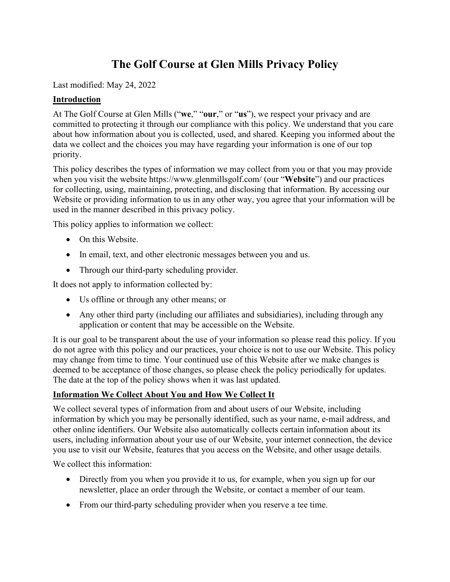# **The Golf Course at Glen Mills Privacy Policy**

Last modified: May 24, 2022

## **Introduction**

At The Golf Course at Glen Mills ("**we**," "**our**," or "**us**"), we respect your privacy and are committed to protecting it through our compliance with this policy. We understand that you care about how information about you is collected, used, and shared. Keeping you informed about the data we collect and the choices you may have regarding your information is one of our top priority.

This policy describes the types of information we may collect from you or that you may provide when you visit the website https://www.glenmillsgolf.com/ (our "**Website**") and our practices for collecting, using, maintaining, protecting, and disclosing that information. By accessing our Website or providing information to us in any other way, you agree that your information will be used in the manner described in this privacy policy.

This policy applies to information we collect:

- On this Website.
- In email, text, and other electronic messages between you and us.
- Through our third-party scheduling provider.

It does not apply to information collected by:

- Us offline or through any other means; or
- Any other third party (including our affiliates and subsidiaries), including through any application or content that may be accessible on the Website.

It is our goal to be transparent about the use of your information so please read this policy. If you do not agree with this policy and our practices, your choice is not to use our Website. This policy may change from time to time. Your continued use of this Website after we make changes is deemed to be acceptance of those changes, so please check the policy periodically for updates. The date at the top of the policy shows when it was last updated.

## **Information We Collect About You and How We Collect It**

We collect several types of information from and about users of our Website, including information by which you may be personally identified, such as your name, e-mail address, and other online identifiers. Our Website also automatically collects certain information about its users, including information about your use of our Website, your internet connection, the device you use to visit our Website, features that you access on the Website, and other usage details.

We collect this information:

- Directly from you when you provide it to us, for example, when you sign up for our newsletter, place an order through the Website, or contact a member of our team.
- From our third-party scheduling provider when you reserve a tee time.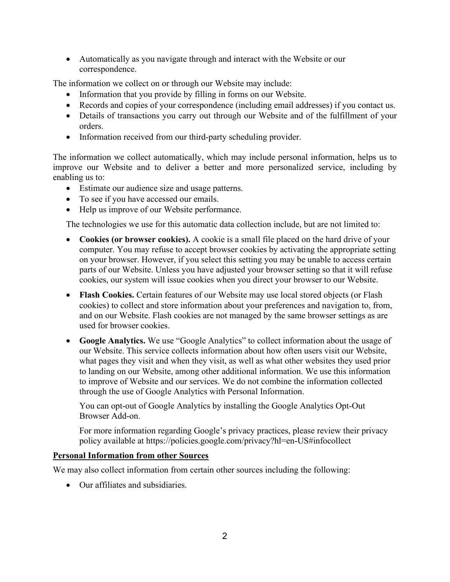• Automatically as you navigate through and interact with the Website or our correspondence.

The information we collect on or through our Website may include:

- Information that you provide by filling in forms on our Website.
- Records and copies of your correspondence (including email addresses) if you contact us.
- Details of transactions you carry out through our Website and of the fulfillment of your orders.
- Information received from our third-party scheduling provider.

The information we collect automatically, which may include personal information, helps us to improve our Website and to deliver a better and more personalized service, including by enabling us to:

- Estimate our audience size and usage patterns.
- To see if you have accessed our emails.
- Help us improve of our Website performance.

The technologies we use for this automatic data collection include, but are not limited to:

- **Cookies (or browser cookies).** A cookie is a small file placed on the hard drive of your computer. You may refuse to accept browser cookies by activating the appropriate setting on your browser. However, if you select this setting you may be unable to access certain parts of our Website. Unless you have adjusted your browser setting so that it will refuse cookies, our system will issue cookies when you direct your browser to our Website.
- **Flash Cookies.** Certain features of our Website may use local stored objects (or Flash cookies) to collect and store information about your preferences and navigation to, from, and on our Website. Flash cookies are not managed by the same browser settings as are used for browser cookies.
- **Google Analytics.** We use "Google Analytics" to collect information about the usage of our Website. This service collects information about how often users visit our Website, what pages they visit and when they visit, as well as what other websites they used prior to landing on our Website, among other additional information. We use this information to improve of Website and our services. We do not combine the information collected through the use of Google Analytics with Personal Information.

You can opt-out of Google Analytics by installing the Google Analytics Opt-Out Browser Add-on.

For more information regarding Google's privacy practices, please review their privacy policy available at<https://policies.google.com/privacy?hl=en-US#infocollect>

## **Personal Information from other Sources**

We may also collect information from certain other sources including the following:

• Our affiliates and subsidiaries.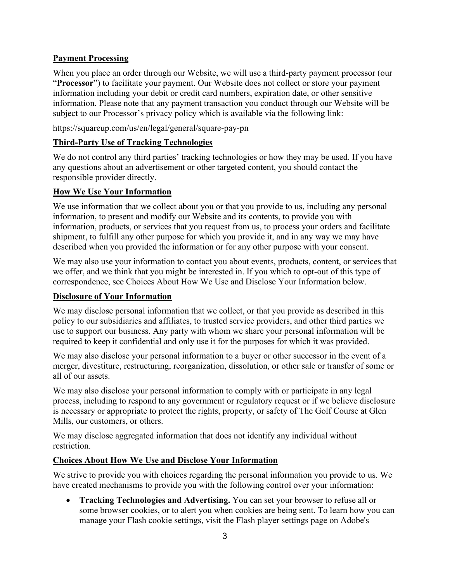## **Payment Processing**

When you place an order through our Website, we will use a third-party payment processor (our "**Processor**") to facilitate your payment. Our Website does not collect or store your payment information including your debit or credit card numbers, expiration date, or other sensitive information. Please note that any payment transaction you conduct through our Website will be subject to our Processor's privacy policy which is available via the following link:

https://squareup.com/us/en/legal/general/square-pay-pn

## **Third-Party Use of Tracking Technologies**

We do not control any third parties' tracking technologies or how they may be used. If you have any questions about an advertisement or other targeted content, you should contact the responsible provider directly.

#### **How We Use Your Information**

We use information that we collect about you or that you provide to us, including any personal information, to present and modify our Website and its contents, to provide you with information, products, or services that you request from us, to process your orders and facilitate shipment, to fulfill any other purpose for which you provide it, and in any way we may have described when you provided the information or for any other purpose with your consent.

We may also use your information to contact you about events, products, content, or services that we offer, and we think that you might be interested in. If you which to opt-out of this type of correspondence, see Choices About How We Use and Disclose Your Information below.

#### **Disclosure of Your Information**

We may disclose personal information that we collect, or that you provide as described in this policy to our subsidiaries and affiliates, to trusted service providers, and other third parties we use to support our business. Any party with whom we share your personal information will be required to keep it confidential and only use it for the purposes for which it was provided.

We may also disclose your personal information to a buyer or other successor in the event of a merger, divestiture, restructuring, reorganization, dissolution, or other sale or transfer of some or all of our assets.

We may also disclose your personal information to comply with or participate in any legal process, including to respond to any government or regulatory request or if we believe disclosure is necessary or appropriate to protect the rights, property, or safety of The Golf Course at Glen Mills, our customers, or others.

We may disclose aggregated information that does not identify any individual without restriction.

## **Choices About How We Use and Disclose Your Information**

We strive to provide you with choices regarding the personal information you provide to us. We have created mechanisms to provide you with the following control over your information:

• **Tracking Technologies and Advertising.** You can set your browser to refuse all or some browser cookies, or to alert you when cookies are being sent. To learn how you can manage your Flash cookie settings, visit the Flash player settings page on Adobe's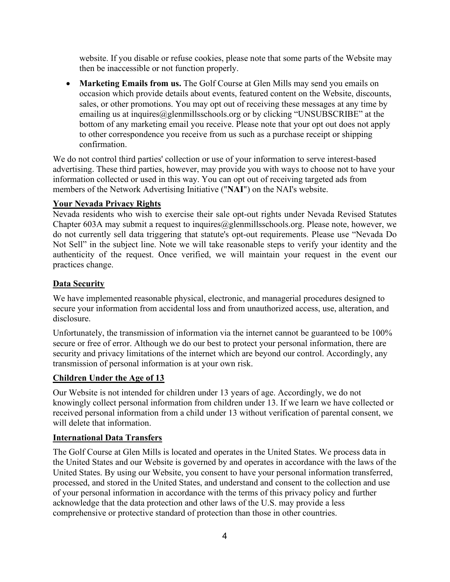website. If you disable or refuse cookies, please note that some parts of the Website may then be inaccessible or not function properly.

• **Marketing Emails from us.** The Golf Course at Glen Mills may send you emails on occasion which provide details about events, featured content on the Website, discounts, sales, or other promotions. You may opt out of receiving these messages at any time by emailing us at inquires@glenmillsschools.org or by clicking "UNSUBSCRIBE" at the bottom of any marketing email you receive. Please note that your opt out does not apply to other correspondence you receive from us such as a purchase receipt or shipping confirmation.

We do not control third parties' collection or use of your information to serve interest-based advertising. These third parties, however, may provide you with ways to choose not to have your information collected or used in this way. You can opt out of receiving targeted ads from members of the Network Advertising Initiative ("**NAI**") on the NAI's website.

#### **Your Nevada Privacy Rights**

Nevada residents who wish to exercise their sale opt-out rights under Nevada Revised Statutes Chapter 603A may submit a request to inquires $@g$ lenmillsschools.org. Please note, however, we do not currently sell data triggering that statute's opt-out requirements. Please use "Nevada Do Not Sell" in the subject line. Note we will take reasonable steps to verify your identity and the authenticity of the request. Once verified, we will maintain your request in the event our practices change.

## **Data Security**

We have implemented reasonable physical, electronic, and managerial procedures designed to secure your information from accidental loss and from unauthorized access, use, alteration, and disclosure.

Unfortunately, the transmission of information via the internet cannot be guaranteed to be 100% secure or free of error. Although we do our best to protect your personal information, there are security and privacy limitations of the internet which are beyond our control. Accordingly, any transmission of personal information is at your own risk.

## **Children Under the Age of 13**

Our Website is not intended for children under 13 years of age. Accordingly, we do not knowingly collect personal information from children under 13. If we learn we have collected or received personal information from a child under 13 without verification of parental consent, we will delete that information.

#### **International Data Transfers**

The Golf Course at Glen Mills is located and operates in the United States. We process data in the United States and our Website is governed by and operates in accordance with the laws of the United States. By using our Website, you consent to have your personal information transferred, processed, and stored in the United States, and understand and consent to the collection and use of your personal information in accordance with the terms of this privacy policy and further acknowledge that the data protection and other laws of the U.S. may provide a less comprehensive or protective standard of protection than those in other countries.